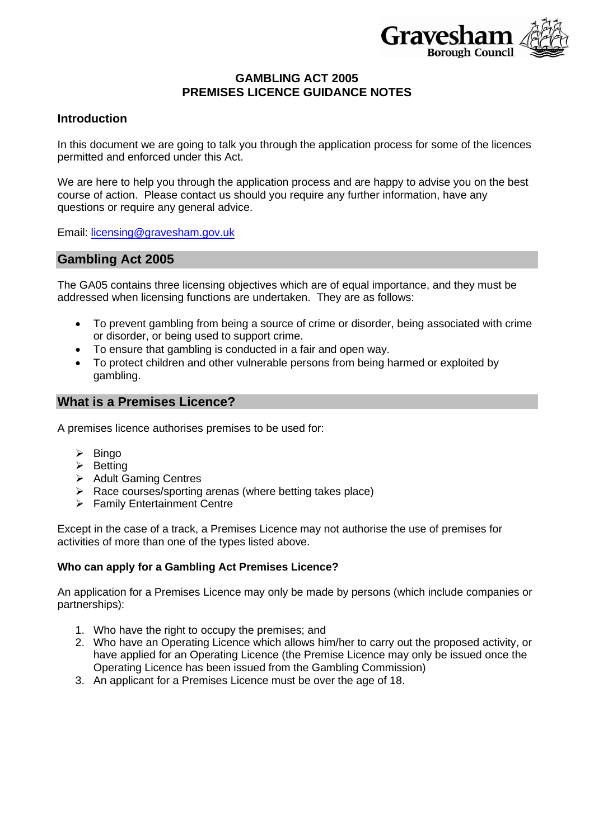

## **GAMBLING ACT 2005 PREMISES LICENCE GUIDANCE NOTES**

### **Introduction**

In this document we are going to talk you through the application process for some of the licences permitted and enforced under this Act.

We are here to help you through the application process and are happy to advise you on the best course of action. Please contact us should you require any further information, have any questions or require any general advice.

Email: [licensing@gravesham.gov.uk](mailto:licensing@gravesham.gov.uk)

### **Gambling Act 2005**

The GA05 contains three licensing objectives which are of equal importance, and they must be addressed when licensing functions are undertaken. They are as follows:

- To prevent gambling from being a source of crime or disorder, being associated with crime or disorder, or being used to support crime.
- To ensure that gambling is conducted in a fair and open way.
- To protect children and other vulnerable persons from being harmed or exploited by gambling.

### **What is a Premises Licence?**

A premises licence authorises premises to be used for:

- ➢ Bingo
- ➢ Betting
- ➢ Adult Gaming Centres
- $\triangleright$  Race courses/sporting arenas (where betting takes place)
- ➢ Family Entertainment Centre

Except in the case of a track, a Premises Licence may not authorise the use of premises for activities of more than one of the types listed above.

### **Who can apply for a Gambling Act Premises Licence?**

An application for a Premises Licence may only be made by persons (which include companies or partnerships):

- 1. Who have the right to occupy the premises; and
- 2. Who have an Operating Licence which allows him/her to carry out the proposed activity, or have applied for an Operating Licence (the Premise Licence may only be issued once the Operating Licence has been issued from the Gambling Commission)
- 3. An applicant for a Premises Licence must be over the age of 18.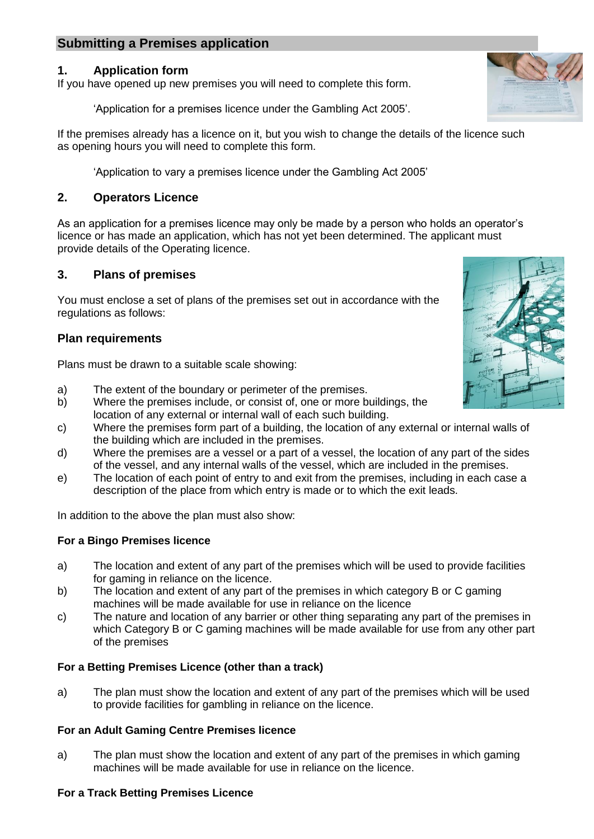# **Submitting a Premises application**

## **1. Application form**

If you have opened up new premises you will need to complete this form.

'Application for a premises licence under the Gambling Act 2005'.

If the premises already has a licence on it, but you wish to change the details of the licence such as opening hours you will need to complete this form.

'Application to vary a premises licence under the Gambling Act 2005'

## **2. Operators Licence**

As an application for a premises licence may only be made by a person who holds an operator's licence or has made an application, which has not yet been determined. The applicant must provide details of the Operating licence.

## **3. Plans of premises**

You must enclose a set of plans of the premises set out in accordance with the regulations as follows:

# **Plan requirements**

Plans must be drawn to a suitable scale showing:

- a) The extent of the boundary or perimeter of the premises.
- b) Where the premises include, or consist of, one or more buildings, the location of any external or internal wall of each such building.
- c) Where the premises form part of a building, the location of any external or internal walls of the building which are included in the premises.
- d) Where the premises are a vessel or a part of a vessel, the location of any part of the sides of the vessel, and any internal walls of the vessel, which are included in the premises.
- e) The location of each point of entry to and exit from the premises, including in each case a description of the place from which entry is made or to which the exit leads.

In addition to the above the plan must also show:

## **For a Bingo Premises licence**

- a) The location and extent of any part of the premises which will be used to provide facilities for gaming in reliance on the licence.
- b) The location and extent of any part of the premises in which category B or C gaming machines will be made available for use in reliance on the licence
- c) The nature and location of any barrier or other thing separating any part of the premises in which Category B or C gaming machines will be made available for use from any other part of the premises

## **For a Betting Premises Licence (other than a track)**

a) The plan must show the location and extent of any part of the premises which will be used to provide facilities for gambling in reliance on the licence.

## **For an Adult Gaming Centre Premises licence**

a) The plan must show the location and extent of any part of the premises in which gaming machines will be made available for use in reliance on the licence.

### **For a Track Betting Premises Licence**



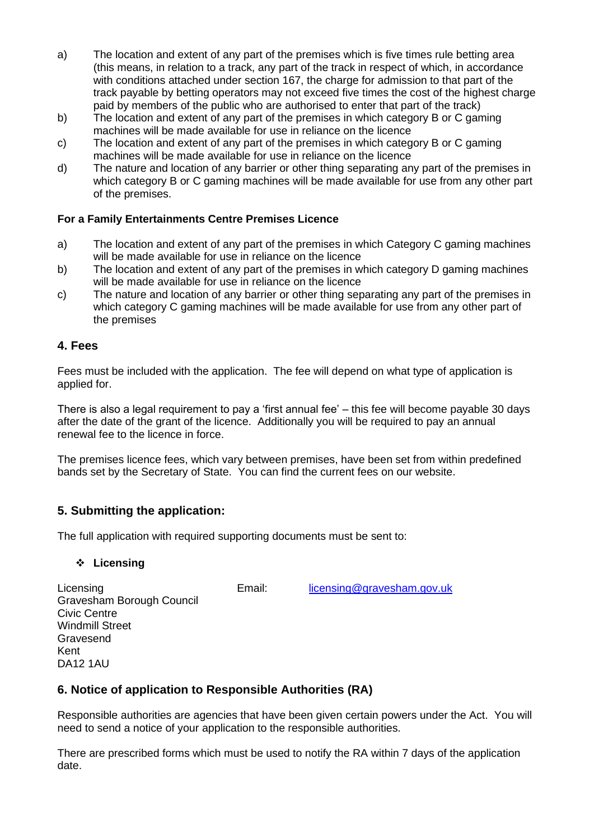- a) The location and extent of any part of the premises which is five times rule betting area (this means, in relation to a track, any part of the track in respect of which, in accordance with conditions attached under section 167, the charge for admission to that part of the track payable by betting operators may not exceed five times the cost of the highest charge paid by members of the public who are authorised to enter that part of the track)
- b) The location and extent of any part of the premises in which category B or C gaming machines will be made available for use in reliance on the licence
- c) The location and extent of any part of the premises in which category B or C gaming machines will be made available for use in reliance on the licence
- d) The nature and location of any barrier or other thing separating any part of the premises in which category B or C gaming machines will be made available for use from any other part of the premises.

## **For a Family Entertainments Centre Premises Licence**

- a) The location and extent of any part of the premises in which Category C gaming machines will be made available for use in reliance on the licence
- b) The location and extent of any part of the premises in which category D gaming machines will be made available for use in reliance on the licence
- c) The nature and location of any barrier or other thing separating any part of the premises in which category C gaming machines will be made available for use from any other part of the premises

### **4. Fees**

Fees must be included with the application. The fee will depend on what type of application is applied for.

There is also a legal requirement to pay a 'first annual fee' – this fee will become payable 30 days after the date of the grant of the licence. Additionally you will be required to pay an annual renewal fee to the licence in force.

The premises licence fees, which vary between premises, have been set from within predefined bands set by the Secretary of State. You can find the current fees on our website.

## **5. Submitting the application:**

The full application with required supporting documents must be sent to:

## ❖ **Licensing**

Licensing Email: [licensing@gravesham.gov.uk](mailto:licensing@gravesham.gov.uk)

Gravesham Borough Council Civic Centre Windmill Street Gravesend Kent DA12 1AU

# **6. Notice of application to Responsible Authorities (RA)**

Responsible authorities are agencies that have been given certain powers under the Act. You will need to send a notice of your application to the responsible authorities.

There are prescribed forms which must be used to notify the RA within 7 days of the application date.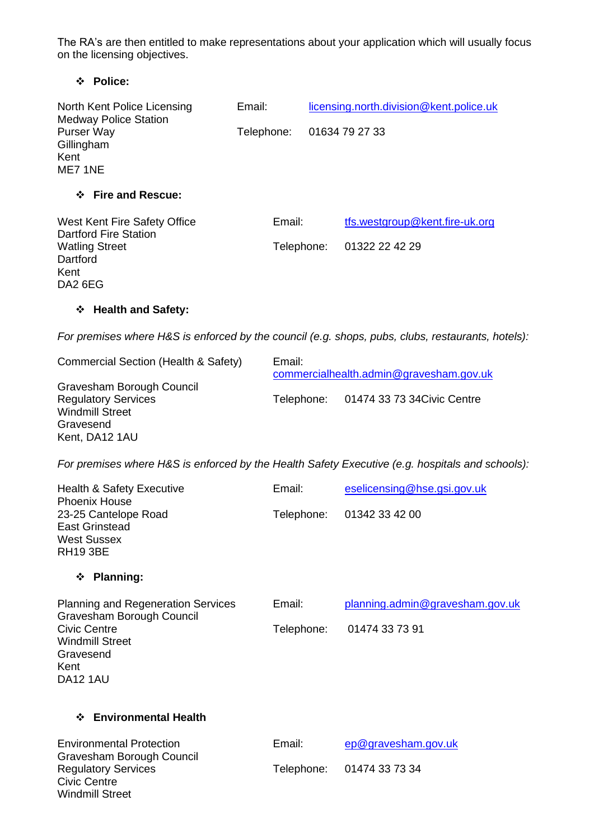The RA's are then entitled to make representations about your application which will usually focus on the licensing objectives.

# ❖ **Police:**

| North Kent Police Licensing<br><b>Medway Police Station</b>                                                                                                     | Email:     |                                                   | licensing.north.division@kent.police.uk                                                           |  |  |  |
|-----------------------------------------------------------------------------------------------------------------------------------------------------------------|------------|---------------------------------------------------|---------------------------------------------------------------------------------------------------|--|--|--|
| Purser Way<br>Gillingham<br>Kent<br>ME7 1NE                                                                                                                     | Telephone: |                                                   | 01634 79 27 33                                                                                    |  |  |  |
| ❖ Fire and Rescue:                                                                                                                                              |            |                                                   |                                                                                                   |  |  |  |
| West Kent Fire Safety Office<br><b>Dartford Fire Station</b><br><b>Watling Street</b><br>Dartford<br>Kent<br>DA2 6EG                                            | Email:     | Telephone:                                        | tfs.westgroup@kent.fire-uk.org<br>01322 22 42 29                                                  |  |  |  |
| <b>Health and Safety:</b><br>❖                                                                                                                                  |            |                                                   |                                                                                                   |  |  |  |
|                                                                                                                                                                 |            |                                                   | For premises where H&S is enforced by the council (e.g. shops, pubs, clubs, restaurants, hotels). |  |  |  |
| Commercial Section (Health & Safety)                                                                                                                            |            | Email:<br>commercialhealth.admin@gravesham.gov.uk |                                                                                                   |  |  |  |
| Gravesham Borough Council<br><b>Regulatory Services</b><br><b>Windmill Street</b><br>Gravesend<br>Kent, DA12 1AU                                                |            | Telephone:                                        | 01474 33 73 34 Civic Centre                                                                       |  |  |  |
|                                                                                                                                                                 |            |                                                   | For premises where H&S is enforced by the Health Safety Executive (e.g. hospitals and schools).   |  |  |  |
| <b>Health &amp; Safety Executive</b><br><b>Phoenix House</b><br>23-25 Cantelope Road<br><b>East Grinstead</b><br><b>West Sussex</b><br><b>RH19 3BE</b>          | Email:     | Telephone:                                        | eselicensing@hse.gsi.gov.uk<br>01342 33 42 00                                                     |  |  |  |
| <b>Planning:</b><br>❖                                                                                                                                           |            |                                                   |                                                                                                   |  |  |  |
| <b>Planning and Regeneration Services</b><br>Gravesham Borough Council<br><b>Civic Centre</b><br><b>Windmill Street</b><br>Gravesend<br>Kent<br><b>DA12 1AU</b> | Email:     | Telephone:                                        | planning.admin@gravesham.gov.uk<br>01474 33 73 91                                                 |  |  |  |
| <b>Environmental Health</b><br>❖                                                                                                                                |            |                                                   |                                                                                                   |  |  |  |
| <b>Environmental Protection</b><br>Gravesham Borough Council<br><b>Regulatory Services</b><br><b>Civic Centre</b><br><b>Windmill Street</b>                     | Email:     | Telephone:                                        | ep@gravesham.gov.uk<br>01474 33 73 34                                                             |  |  |  |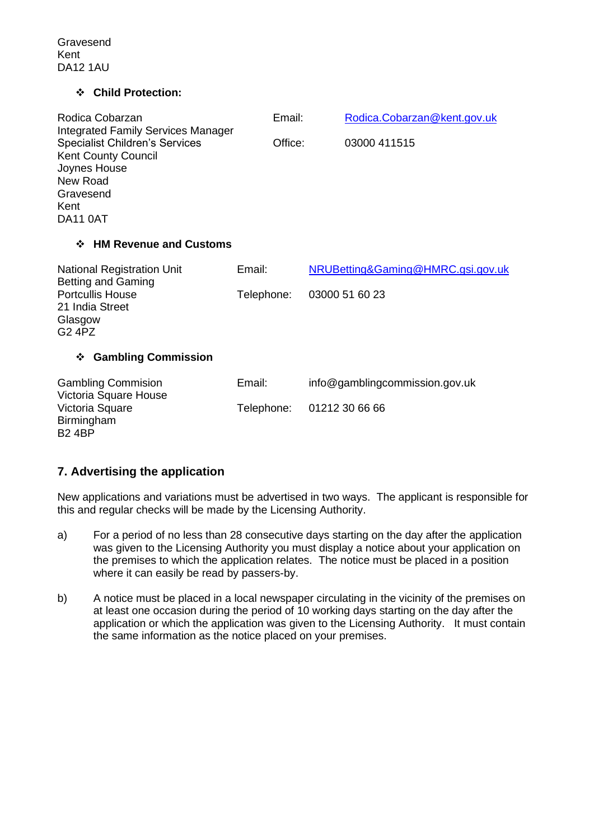Gravesend Kent DA12 1AU

#### ❖ **Child Protection:**

| Office:    | 03000 411515                      |  |  |
|------------|-----------------------------------|--|--|
|            |                                   |  |  |
|            |                                   |  |  |
| Email:     | NRUBetting&Gaming@HMRC.gsi.gov.uk |  |  |
| Telephone: | 03000 51 60 23                    |  |  |
|            |                                   |  |  |
|            |                                   |  |  |

Gambling Commision Email: info@gamblingcommission.gov.uk Victoria Square House Victoria Square Telephone: 01212 30 66 66 **Birmingham** B2 4BP

## **7. Advertising the application**

New applications and variations must be advertised in two ways. The applicant is responsible for this and regular checks will be made by the Licensing Authority.

- a) For a period of no less than 28 consecutive days starting on the day after the application was given to the Licensing Authority you must display a notice about your application on the premises to which the application relates. The notice must be placed in a position where it can easily be read by passers-by.
- b) A notice must be placed in a local newspaper circulating in the vicinity of the premises on at least one occasion during the period of 10 working days starting on the day after the application or which the application was given to the Licensing Authority.It must contain the same information as the notice placed on your premises.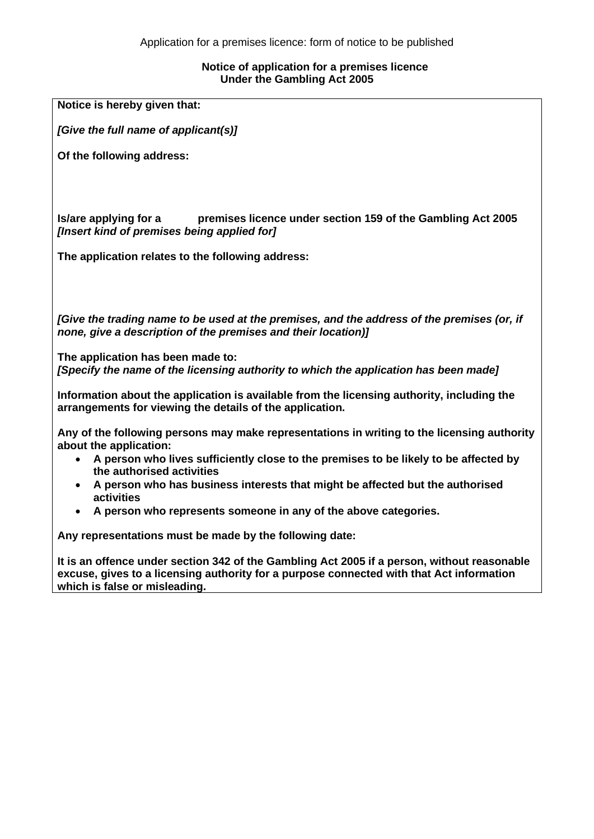#### **Notice of application for a premises licence Under the Gambling Act 2005**

| Notice is hereby given that:                                                                                                                                                                                                                                                                                                                                                                                                  |
|-------------------------------------------------------------------------------------------------------------------------------------------------------------------------------------------------------------------------------------------------------------------------------------------------------------------------------------------------------------------------------------------------------------------------------|
| [Give the full name of applicant(s)]                                                                                                                                                                                                                                                                                                                                                                                          |
| Of the following address:                                                                                                                                                                                                                                                                                                                                                                                                     |
| Is/are applying for a<br>premises licence under section 159 of the Gambling Act 2005<br>[Insert kind of premises being applied for]                                                                                                                                                                                                                                                                                           |
| The application relates to the following address:                                                                                                                                                                                                                                                                                                                                                                             |
| [Give the trading name to be used at the premises, and the address of the premises (or, if<br>none, give a description of the premises and their location)]                                                                                                                                                                                                                                                                   |
| The application has been made to:<br>[Specify the name of the licensing authority to which the application has been made]                                                                                                                                                                                                                                                                                                     |
| Information about the application is available from the licensing authority, including the<br>arrangements for viewing the details of the application.                                                                                                                                                                                                                                                                        |
| Any of the following persons may make representations in writing to the licensing authority<br>about the application:<br>• A person who lives sufficiently close to the premises to be likely to be affected by<br>the authorised activities<br>• A person who has business interests that might be affected but the authorised<br>activities<br>A person who represents someone in any of the above categories.<br>$\bullet$ |
| Any representations must be made by the following date:                                                                                                                                                                                                                                                                                                                                                                       |
| It is an offence under section 342 of the Gambling Act 2005 if a person, without reasonable<br>excuse, gives to a licensing authority for a purpose connected with that Act information<br>which is false or misleading.                                                                                                                                                                                                      |
|                                                                                                                                                                                                                                                                                                                                                                                                                               |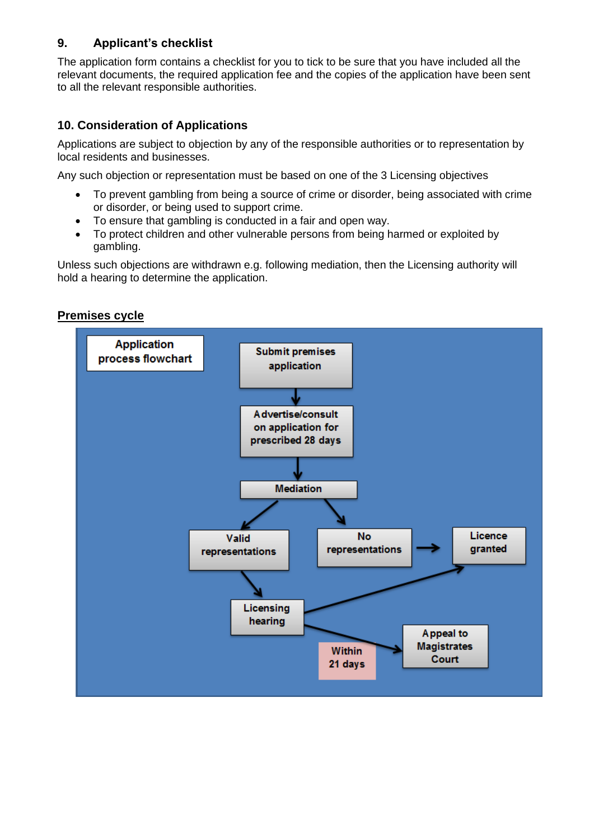# **9. Applicant's checklist**

The application form contains a checklist for you to tick to be sure that you have included all the relevant documents, the required application fee and the copies of the application have been sent to all the relevant responsible authorities.

# **10. Consideration of Applications**

Applications are subject to objection by any of the responsible authorities or to representation by local residents and businesses.

Any such objection or representation must be based on one of the 3 Licensing objectives

- To prevent gambling from being a source of crime or disorder, being associated with crime or disorder, or being used to support crime.
- To ensure that gambling is conducted in a fair and open way.
- To protect children and other vulnerable persons from being harmed or exploited by gambling.

Unless such objections are withdrawn e.g. following mediation, then the Licensing authority will hold a hearing to determine the application.

# **Premises cycle**

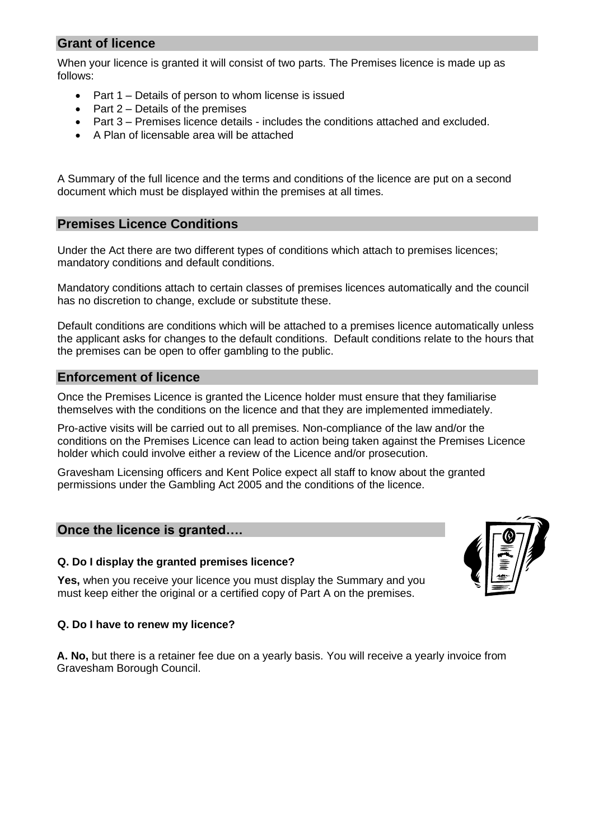# **Grant of licence**

When your licence is granted it will consist of two parts. The Premises licence is made up as follows:

- Part 1 Details of person to whom license is issued
- Part 2 Details of the premises
- Part 3 Premises licence details includes the conditions attached and excluded.
- A Plan of licensable area will be attached

A Summary of the full licence and the terms and conditions of the licence are put on a second document which must be displayed within the premises at all times.

# **Premises Licence Conditions**

Under the Act there are two different types of conditions which attach to premises licences; mandatory conditions and default conditions.

Mandatory conditions attach to certain classes of premises licences automatically and the council has no discretion to change, exclude or substitute these.

Default conditions are conditions which will be attached to a premises licence automatically unless the applicant asks for changes to the default conditions. Default conditions relate to the hours that the premises can be open to offer gambling to the public.

## **Enforcement of licence**

Once the Premises Licence is granted the Licence holder must ensure that they familiarise themselves with the conditions on the licence and that they are implemented immediately.

Pro-active visits will be carried out to all premises. Non-compliance of the law and/or the conditions on the Premises Licence can lead to action being taken against the Premises Licence holder which could involve either a review of the Licence and/or prosecution.

Gravesham Licensing officers and Kent Police expect all staff to know about the granted permissions under the Gambling Act 2005 and the conditions of the licence.

## **Once the licence is granted….**

### **Q. Do I display the granted premises licence?**

**Yes,** when you receive your licence you must display the Summary and you must keep either the original or a certified copy of Part A on the premises.



### **Q. Do I have to renew my licence?**

**A. No,** but there is a retainer fee due on a yearly basis. You will receive a yearly invoice from Gravesham Borough Council.